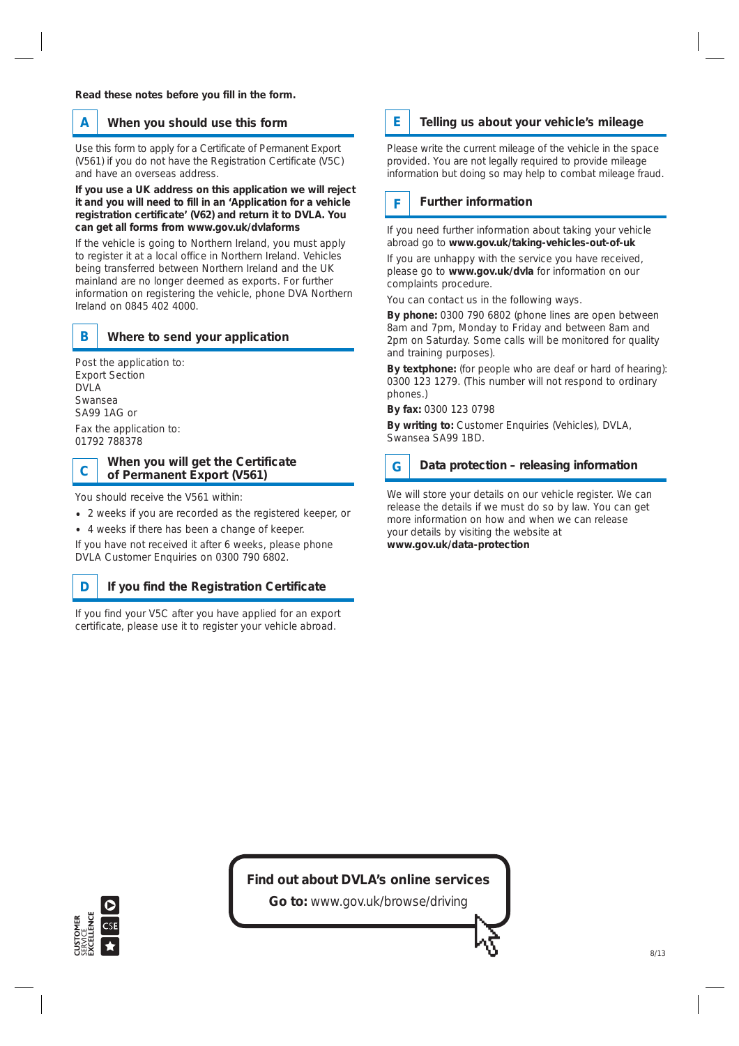### **A When you should use this form**

Use this form to apply for a Certificate of Permanent Export (V561) if you do not have the Registration Certificate (V5C) and have an overseas address.

**If you use a UK address on this application we will reject it and you will need to fill in an 'Application for a vehicle registration certificate' (V62) and return it to DVLA. You can get all forms from www.gov.uk/dvlaforms**

If the vehicle is going to Northern Ireland, you must apply to register it at a local office in Northern Ireland. Vehicles being transferred between Northern Ireland and the UK mainland are no longer deemed as exports. For further information on registering the vehicle, phone DVA Northern Ireland on 0845 402 4000.



### **B Where to send your application**

Post the application to: Export Section DVI A Swansea SA99 1AG or Fax the application to:

01792 788378

# **When you will get the Certificate C of Permanent Export (V561)**

You should receive the V561 within:

- 2 weeks if you are recorded as the registered keeper, or
- 4 weeks if there has been a change of keeper.

If you have not received it after 6 weeks, please phone DVLA Customer Enquiries on 0300 790 6802.

#### **D If you find the Registration Certificate**

If you find your V5C after you have applied for an export certificate, please use it to register your vehicle abroad.

#### **E Telling us about your vehicle's mileage**

Please write the current mileage of the vehicle in the space provided. You are not legally required to provide mileage information but doing so may help to combat mileage fraud.

#### **F Further information**

If you need further information about taking your vehicle abroad go to **www.gov.uk/taking-vehicles-out-of-uk**

If you are unhappy with the service you have received, please go to **www.gov.uk/dvla** for information on our complaints procedure.

You can contact us in the following ways.

**By phone:** 0300 790 6802 (phone lines are open between 8am and 7pm, Monday to Friday and between 8am and 2pm on Saturday. Some calls will be monitored for quality and training purposes).

**By textphone:** (for people who are deaf or hard of hearing): 0300 123 1279. (This number will not respond to ordinary phones.)

**By fax:** 0300 123 0798

**By writing to:** Customer Enquiries (Vehicles), DVLA, Swansea SA99 1BD.

#### **G Data protection – releasing information**

We will store your details on our vehicle register. We can release the details if we must do so by law. You can get more information on how and when we can release your details by visiting the website at **www.gov.uk/data-protection**

### **Find out about DVLA's online services**

**Go to:** www.gov.uk/browse/driving